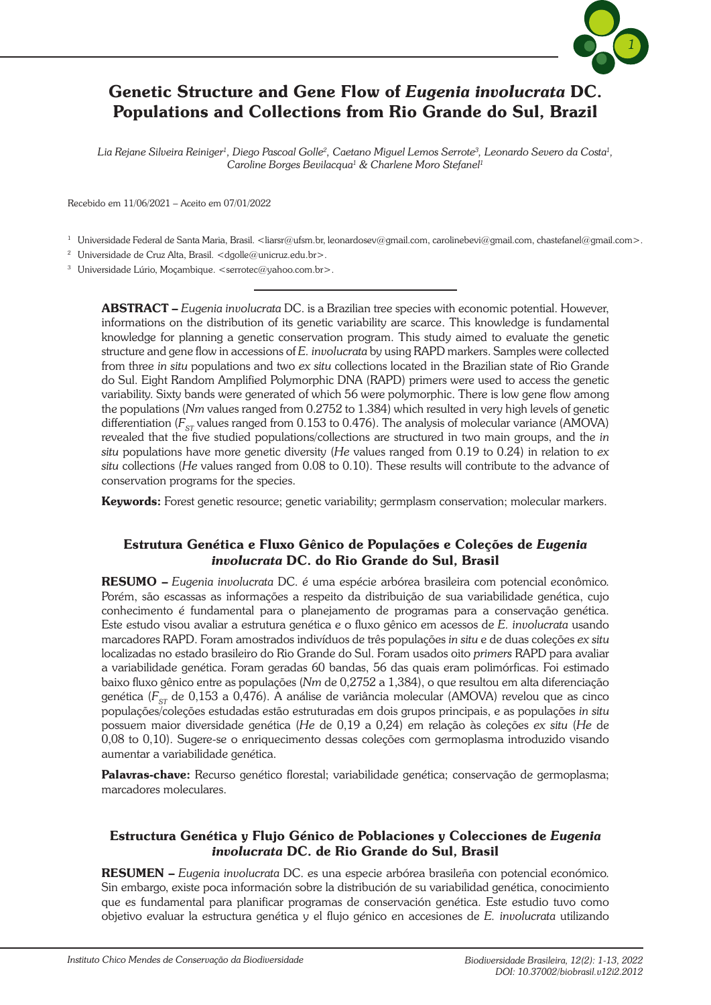

# Genetic Structure and Gene Flow of *Eugenia involucrata* DC. Populations and Collections from Rio Grande do Sul, Brazil

Lia Rejane Silveira Reiniger<sup>1</sup>, Diego Pascoal Golle<sup>2</sup>, Caetano Miguel Lemos Serrote<sup>3</sup>, Leonardo Severo da Costa<sup>1</sup>, *Caroline Borges Bevilacqua1 & Charlene Moro Stefanel1*

Recebido em 11/06/2021 – Aceito em 07/01/2022

<sup>1</sup> Universidade Federal de Santa Maria, Brasil. <liarsr@ufsm.br, leonardosev@gmail.com, carolinebevi@gmail.com, chastefanel@gmail.com>.

<sup>2</sup> Universidade de Cruz Alta, Brasil. <dgolle@unicruz.edu.br>.

<sup>3</sup> Universidade Lúrio, Mocambique. <serrotec@yahoo.com.br>.

ABSTRACT – *Eugenia involucrata* DC. is a Brazilian tree species with economic potential. However, informations on the distribution of its genetic variability are scarce. This knowledge is fundamental knowledge for planning a genetic conservation program. This study aimed to evaluate the genetic structure and gene flow in accessions of *E. involucrata* by using RAPD markers. Samples were collected from three *in situ* populations and two *ex situ* collections located in the Brazilian state of Rio Grande do Sul. Eight Random Amplified Polymorphic DNA (RAPD) primers were used to access the genetic variability. Sixty bands were generated of which 56 were polymorphic. There is low gene flow among the populations (*Nm* values ranged from 0.2752 to 1.384) which resulted in very high levels of genetic differentiation ( $F_{ST}$  values ranged from 0.153 to 0.476). The analysis of molecular variance (AMOVA) revealed that the five studied populations/collections are structured in two main groups, and the *in situ* populations have more genetic diversity (*He* values ranged from 0.19 to 0.24) in relation to *ex situ* collections (*He* values ranged from 0.08 to 0.10). These results will contribute to the advance of conservation programs for the species.

Keywords: Forest genetic resource; genetic variability; germplasm conservation; molecular markers.

#### Estrutura Genética e Fluxo Gênico de Populações e Coleções de *Eugenia involucrata* DC. do Rio Grande do Sul, Brasil

RESUMO – *Eugenia involucrata* DC. é uma espécie arbórea brasileira com potencial econômico. Porém, são escassas as informações a respeito da distribuição de sua variabilidade genética, cujo conhecimento é fundamental para o planejamento de programas para a conservação genética. Este estudo visou avaliar a estrutura genética e o fluxo gênico em acessos de *E. involucrata* usando marcadores RAPD. Foram amostrados indivíduos de três populações *in situ* e de duas coleções *ex situ*  localizadas no estado brasileiro do Rio Grande do Sul. Foram usados oito *primers* RAPD para avaliar a variabilidade genética. Foram geradas 60 bandas, 56 das quais eram polimórficas. Foi estimado baixo fluxo gênico entre as populações (*Nm* de 0,2752 a 1,384), o que resultou em alta diferenciação genética (F<sub>sr</sub> de 0,153 a 0,476). A análise de variância molecular (AMOVA) revelou que as cinco populações/coleções estudadas estão estruturadas em dois grupos principais, e as populações *in situ* possuem maior diversidade genética (*He* de 0,19 a 0,24) em relação às coleções *ex situ* (*He* de 0,08 to 0,10). Sugere-se o enriquecimento dessas coleções com germoplasma introduzido visando aumentar a variabilidade genética.

Palavras-chave: Recurso genético florestal; variabilidade genética; conservação de germoplasma; marcadores moleculares.

#### Estructura Genética y Flujo Génico de Poblaciones y Colecciones de *Eugenia involucrata* DC. de Rio Grande do Sul, Brasil

RESUMEN – *Eugenia involucrata* DC. es una especie arbórea brasileña con potencial económico. Sin embargo, existe poca información sobre la distribución de su variabilidad genética, conocimiento que es fundamental para planificar programas de conservación genética. Este estudio tuvo como objetivo evaluar la estructura genética y el flujo g*é*nico en accesiones de *E. involucrata* utilizando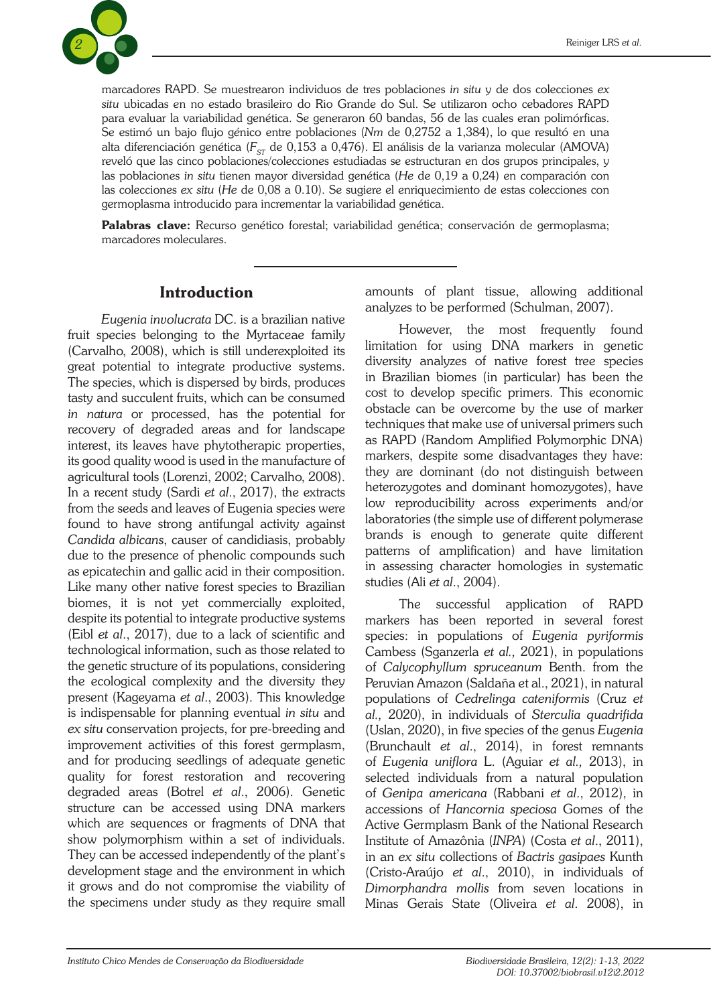

marcadores RAPD. Se muestrearon individuos de tres poblaciones *in situ* y de dos colecciones *ex situ* ubicadas en no estado brasileiro do Rio Grande do Sul. Se utilizaron ocho cebadores RAPD para evaluar la variabilidad genética. Se generaron 60 bandas, 56 de las cuales eran polimórficas. Se estimó un bajo flujo g*é*nico entre poblaciones (*Nm* de 0,2752 a 1,384), lo que resultó en una alta diferenciación genética (F<sub>st</sub> de 0,153 a 0,476). El análisis de la varianza molecular (AMOVA) reveló que las cinco poblaciones/colecciones estudiadas se estructuran en dos grupos principales, y las poblaciones *in situ* tienen mayor diversidad genética (*He* de 0,19 a 0,24) en comparación con las colecciones *ex situ* (*He* de 0,08 a 0.10). Se sugiere el enriquecimiento de estas colecciones con germoplasma introducido para incrementar la variabilidad genética.

Palabras clave: Recurso genético forestal; variabilidad genética; conservación de germoplasma; marcadores moleculares.

## Introduction

*Eugenia involucrata* DC. is a brazilian native fruit species belonging to the Myrtaceae family (Carvalho, 2008), which is still underexploited its great potential to integrate productive systems. The species, which is dispersed by birds, produces tasty and succulent fruits, which can be consumed *in natura* or processed, has the potential for recovery of degraded areas and for landscape interest, its leaves have phytotherapic properties, its good quality wood is used in the manufacture of agricultural tools (Lorenzi, 2002; Carvalho, 2008). In a recent study (Sardi *et al*., 2017), the extracts from the seeds and leaves of Eugenia species were found to have strong antifungal activity against *Candida albicans*, causer of candidiasis, probably due to the presence of phenolic compounds such as epicatechin and gallic acid in their composition. Like many other native forest species to Brazilian biomes, it is not yet commercially exploited, despite its potential to integrate productive systems (Eibl *et al*., 2017), due to a lack of scientific and technological information, such as those related to the genetic structure of its populations, considering the ecological complexity and the diversity they present (Kageyama *et al*., 2003). This knowledge is indispensable for planning eventual *in situ* and *ex situ* conservation projects, for pre-breeding and improvement activities of this forest germplasm, and for producing seedlings of adequate genetic quality for forest restoration and recovering degraded areas (Botrel *et al*., 2006). Genetic structure can be accessed using DNA markers which are sequences or fragments of DNA that show polymorphism within a set of individuals. They can be accessed independently of the plant's development stage and the environment in which it grows and do not compromise the viability of the specimens under study as they require small

amounts of plant tissue, allowing additional analyzes to be performed (Schulman, 2007).

However, the most frequently found limitation for using DNA markers in genetic diversity analyzes of native forest tree species in Brazilian biomes (in particular) has been the cost to develop specific primers. This economic obstacle can be overcome by the use of marker techniques that make use of universal primers such as RAPD (Random Amplified Polymorphic DNA) markers, despite some disadvantages they have: they are dominant (do not distinguish between heterozygotes and dominant homozygotes), have low reproducibility across experiments and/or laboratories (the simple use of different polymerase brands is enough to generate quite different patterns of amplification) and have limitation in assessing character homologies in systematic studies (Ali *et al*., 2004).

The successful application of RAPD markers has been reported in several forest species: in populations of *Eugenia pyriformis* Cambess (Sganzerla *et al.,* 2021), in populations of *Calycophyllum spruceanum* Benth. from the Peruvian Amazon (Saldaña et al., 2021), in natural populations of *Cedrelinga cateniformis* (Cruz *et al.,* 2020), in individuals of *Sterculia quadrifida* (Uslan, 2020), in five species of the genus *Eugenia* (Brunchault *et al*., 2014), in forest remnants of *Eugenia uniflora* L. (Aguiar *et al.,* 2013), in selected individuals from a natural population of *Genipa americana* (Rabbani *et al*., 2012), in accessions of *Hancornia speciosa* Gomes of the Active Germplasm Bank of the National Research Institute of Amazônia (*INPA*) (Costa *et al*., 2011), in an *ex situ* collections of *Bactris gasipaes* Kunth (Cristo-Araújo *et al*., 2010), in individuals of *Dimorphandra mollis* from seven locations in Minas Gerais State (Oliveira *et al*. 2008), in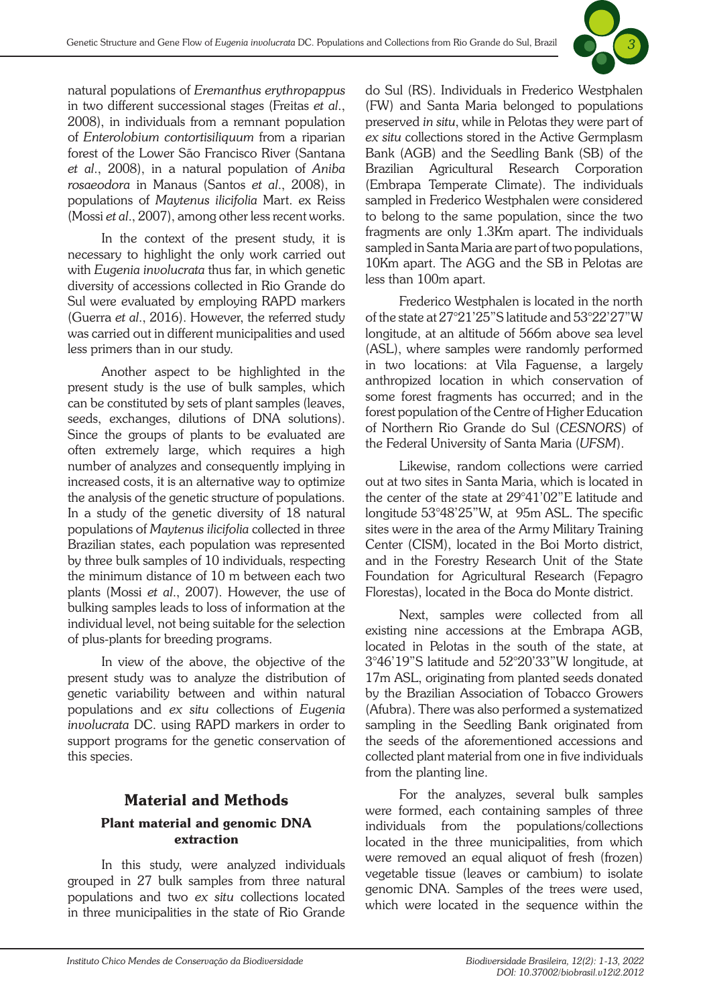

natural populations of *Eremanthus erythropappus* in two different successional stages (Freitas *et al*., 2008), in individuals from a remnant population of *Enterolobium contortisiliquum* from a riparian forest of the Lower São Francisco River (Santana *et al*., 2008), in a natural population of *Aniba rosaeodora* in Manaus (Santos *et al*., 2008), in populations of *Maytenus ilicifolia* Mart. ex Reiss (Mossi *et al*., 2007), among other less recent works.

In the context of the present study, it is necessary to highlight the only work carried out with *Eugenia involucrata* thus far, in which genetic diversity of accessions collected in Rio Grande do Sul were evaluated by employing RAPD markers (Guerra *et al*., 2016). However, the referred study was carried out in different municipalities and used less primers than in our study.

Another aspect to be highlighted in the present study is the use of bulk samples, which can be constituted by sets of plant samples (leaves, seeds, exchanges, dilutions of DNA solutions). Since the groups of plants to be evaluated are often extremely large, which requires a high number of analyzes and consequently implying in increased costs, it is an alternative way to optimize the analysis of the genetic structure of populations. In a study of the genetic diversity of 18 natural populations of *Maytenus ilicifolia* collected in three Brazilian states, each population was represented by three bulk samples of 10 individuals, respecting the minimum distance of 10 m between each two plants (Mossi *et al*., 2007). However, the use of bulking samples leads to loss of information at the individual level, not being suitable for the selection of plus-plants for breeding programs.

In view of the above, the objective of the present study was to analyze the distribution of genetic variability between and within natural populations and *ex situ* collections of *Eugenia involucrata* DC. using RAPD markers in order to support programs for the genetic conservation of this species.

# Material and Methods Plant material and genomic DNA extraction

In this study, were analyzed individuals grouped in 27 bulk samples from three natural populations and two *ex situ* collections located in three municipalities in the state of Rio Grande

do Sul (RS). Individuals in Frederico Westphalen (FW) and Santa Maria belonged to populations preserved *in situ*, while in Pelotas they were part of *ex situ* collections stored in the Active Germplasm Bank (AGB) and the Seedling Bank (SB) of the Brazilian Agricultural Research Corporation (Embrapa Temperate Climate). The individuals sampled in Frederico Westphalen were considered to belong to the same population, since the two fragments are only 1.3Km apart. The individuals sampled in Santa Maria are part of two populations, 10Km apart. The AGG and the SB in Pelotas are less than 100m apart.

Frederico Westphalen is located in the north of the state at 27°21'25"S latitude and 53°22'27"W longitude, at an altitude of 566m above sea level (ASL), where samples were randomly performed in two locations: at Vila Faguense, a largely anthropized location in which conservation of some forest fragments has occurred; and in the forest population of the Centre of Higher Education of Northern Rio Grande do Sul (*CESNORS*) of the Federal University of Santa Maria (*UFSM*).

Likewise, random collections were carried out at two sites in Santa Maria, which is located in the center of the state at 29°41'02"E latitude and longitude 53°48'25"W, at 95m ASL. The specific sites were in the area of the Army Military Training Center (CISM), located in the Boi Morto district, and in the Forestry Research Unit of the State Foundation for Agricultural Research (Fepagro Florestas), located in the Boca do Monte district.

Next, samples were collected from all existing nine accessions at the Embrapa AGB, located in Pelotas in the south of the state, at 3°46'19"S latitude and 52°20'33"W longitude, at 17m ASL, originating from planted seeds donated by the Brazilian Association of Tobacco Growers (Afubra). There was also performed a systematized sampling in the Seedling Bank originated from the seeds of the aforementioned accessions and collected plant material from one in five individuals from the planting line.

For the analyzes, several bulk samples were formed, each containing samples of three individuals from the populations/collections located in the three municipalities, from which were removed an equal aliquot of fresh (frozen) vegetable tissue (leaves or cambium) to isolate genomic DNA. Samples of the trees were used, which were located in the sequence within the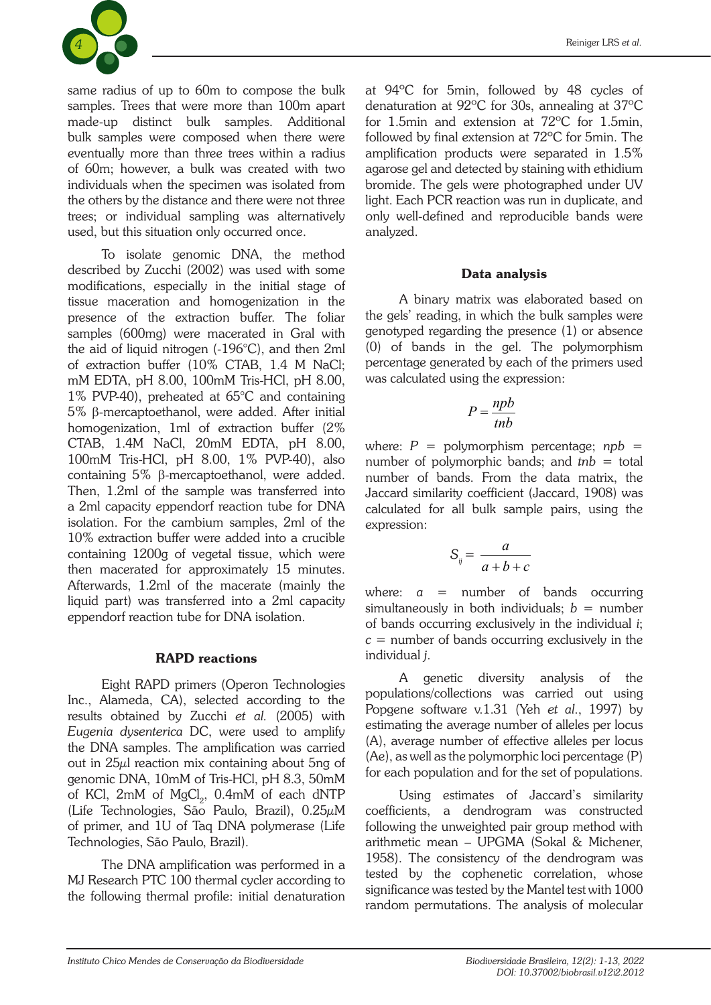

same radius of up to 60m to compose the bulk samples. Trees that were more than 100m apart made-up distinct bulk samples. Additional bulk samples were composed when there were eventually more than three trees within a radius of 60m; however, a bulk was created with two individuals when the specimen was isolated from the others by the distance and there were not three trees; or individual sampling was alternatively used, but this situation only occurred once.

To isolate genomic DNA, the method described by Zucchi (2002) was used with some modifications, especially in the initial stage of tissue maceration and homogenization in the presence of the extraction buffer. The foliar samples (600mg) were macerated in Gral with the aid of liquid nitrogen (-196°C), and then 2ml of extraction buffer (10% CTAB, 1.4 M NaCl; mM EDTA, pH 8.00, 100mM Tris-HCl, pH 8.00, 1% PVP-40), preheated at 65°C and containing 5% β-mercaptoethanol, were added. After initial homogenization, 1ml of extraction buffer (2% CTAB, 1.4M NaCl, 20mM EDTA, pH 8.00, 100mM Tris-HCl, pH 8.00, 1% PVP-40), also containing 5% β-mercaptoethanol, were added. Then, 1.2ml of the sample was transferred into a 2ml capacity eppendorf reaction tube for DNA isolation. For the cambium samples, 2ml of the 10% extraction buffer were added into a crucible containing 1200g of vegetal tissue, which were then macerated for approximately 15 minutes. Afterwards, 1.2ml of the macerate (mainly the liquid part) was transferred into a 2ml capacity eppendorf reaction tube for DNA isolation.

#### RAPD reactions

Eight RAPD primers (Operon Technologies Inc., Alameda, CA), selected according to the results obtained by Zucchi *et al.* (2005) with *Eugenia dysenterica* DC, were used to amplify the DNA samples. The amplification was carried out in 25μl reaction mix containing about 5ng of genomic DNA, 10mM of Tris-HCl, pH 8.3, 50mM of KCl,  $2\text{mM}$  of  $\text{MgCl}_2$ ,  $0.4\text{mM}$  of each dNTP (Life Technologies, São Paulo, Brazil), 0.25μM of primer, and 1U of Taq DNA polymerase (Life Technologies, São Paulo, Brazil).

The DNA amplification was performed in a MJ Research PTC 100 thermal cycler according to the following thermal profile: initial denaturation at 94ºC for 5min, followed by 48 cycles of denaturation at 92ºC for 30s, annealing at 37ºC for 1.5min and extension at 72ºC for 1.5min, followed by final extension at 72ºC for 5min. The amplification products were separated in 1.5% agarose gel and detected by staining with ethidium bromide. The gels were photographed under UV light. Each PCR reaction was run in duplicate, and only well-defined and reproducible bands were analyzed.

### Data analysis

A binary matrix was elaborated based on the gels' reading, in which the bulk samples were genotyped regarding the presence (1) or absence (0) of bands in the gel. The polymorphism percentage generated by each of the primers used was calculated using the expression:

$$
P = \frac{npb}{th}
$$

where:  $P =$  polymorphism percentage;  $npb =$ number of polymorphic bands; and *tnb* = total number of bands. From the data matrix, the Jaccard similarity coefficient (Jaccard, 1908) was calculated for all bulk sample pairs, using the expression:

$$
S_{ij} = \frac{a}{a+b+c}
$$

where: *a* = number of bands occurring simultaneously in both individuals; *b* = number of bands occurring exclusively in the individual *i*;  $c =$  number of bands occurring exclusively in the individual *j*.

A genetic diversity analysis of the populations/collections was carried out using Popgene software v.1.31 (Yeh *et al*., 1997) by estimating the average number of alleles per locus (A), average number of effective alleles per locus (Ae), as well as the polymorphic loci percentage (P) for each population and for the set of populations.

Using estimates of Jaccard's similarity coefficients, a dendrogram was constructed following the unweighted pair group method with arithmetic mean – UPGMA (Sokal & Michener, 1958). The consistency of the dendrogram was tested by the cophenetic correlation, whose significance was tested by the Mantel test with 1000 random permutations. The analysis of molecular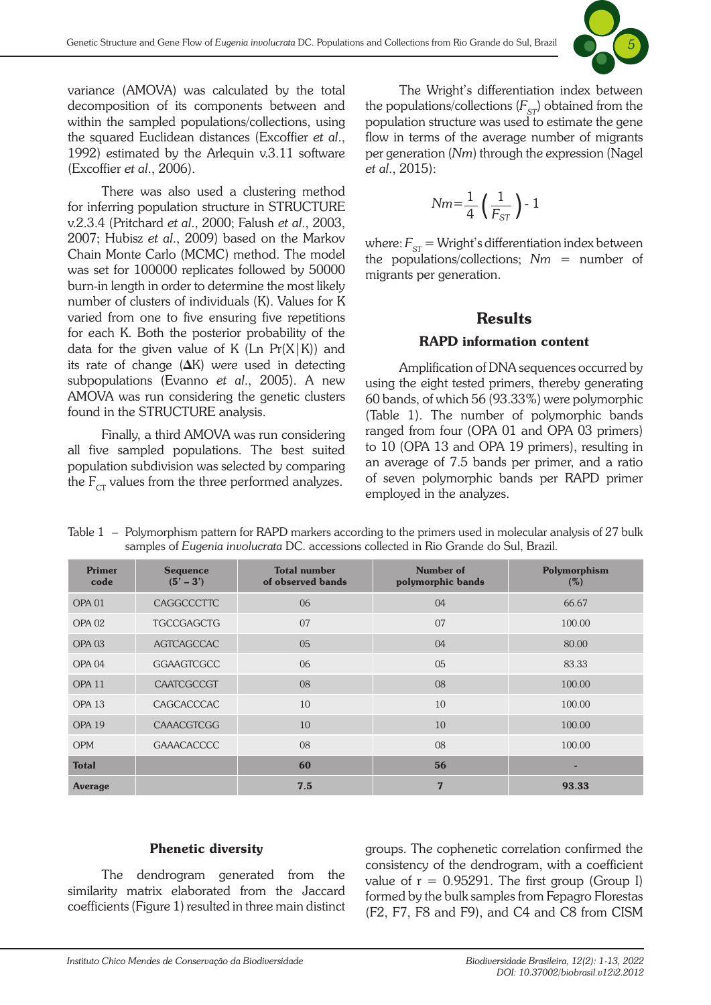

variance (AMOVA) was calculated by the total decomposition of its components between and within the sampled populations/collections, using the squared Euclidean distances (Excoffier *et al*., 1992) estimated by the Arlequin v.3.11 software (Excoffier *et al*., 2006).

There was also used a clustering method for inferring population structure in STRUCTURE v.2.3.4 (Pritchard *et al*., 2000; Falush *et al*., 2003, 2007; Hubisz *et al*., 2009) based on the Markov Chain Monte Carlo (MCMC) method. The model was set for 100000 replicates followed by 50000 burn-in length in order to determine the most likely number of clusters of individuals (K). Values for K varied from one to five ensuring five repetitions for each K. Both the posterior probability of the data for the given value of K (Ln  $Pr(X|K)$ ) and its rate of change  $(\Delta K)$  were used in detecting subpopulations (Evanno *et al*., 2005). A new AMOVA was run considering the genetic clusters found in the STRUCTURE analysis.

Finally, a third AMOVA was run considering all five sampled populations. The best suited population subdivision was selected by comparing the  $F_{CT}$  values from the three performed analyzes.

The Wright's differentiation index between the populations/collections  $(F_{ST})$  obtained from the population structure was used to estimate the gene flow in terms of the average number of migrants per generation (*Nm*) through the expression (Nagel *et al*., 2015):

$$
Nm = \frac{1}{4} \left( \frac{1}{F_{ST}} \right) - 1
$$

where:  $F_{ST}$  = Wright's differentiation index between the populations/collections; *Nm* = number of migrants per generation.

### **Results**

#### RAPD information content

Amplification of DNA sequences occurred by using the eight tested primers, thereby generating 60 bands, of which 56 (93.33%) were polymorphic (Table 1). The number of polymorphic bands ranged from four (OPA 01 and OPA 03 primers) to 10 (OPA 13 and OPA 19 primers), resulting in an average of 7.5 bands per primer, and a ratio of seven polymorphic bands per RAPD primer employed in the analyzes.

| <b>Primer</b><br>code | <b>Sequence</b><br>$(5' - 3')$ | <b>Total number</b><br>of observed bands | Number of<br>polymorphic bands | Polymorphism<br>(%) |
|-----------------------|--------------------------------|------------------------------------------|--------------------------------|---------------------|
| OPA <sub>01</sub>     | CAGGCCCTTC                     | 06                                       | 04                             | 66.67               |
| <b>OPA 02</b>         | <b>TGCCGAGCTG</b>              | 07                                       | 07                             | 100.00              |
| OPA <sub>03</sub>     | <b>AGTCAGCCAC</b>              | 0 <sub>5</sub>                           | 04                             | 80.00               |
| OPA <sub>04</sub>     | <b>GGAAGTCGCC</b>              | 06                                       | 0 <sub>5</sub>                 | 83.33               |
| OPA <sub>11</sub>     | CAATCGCCGT                     | 08                                       | 08                             | 100.00              |
| OPA <sub>13</sub>     | CAGCACCCAC                     | 10                                       | 10                             | 100.00              |
| OPA <sub>19</sub>     | <b>CAAACGTCGG</b>              | 10                                       | 10                             | 100.00              |
| <b>OPM</b>            | <b>GAAACACCCC</b>              | 08                                       | 08                             | 100.00              |
| <b>Total</b>          |                                | 60                                       | 56                             |                     |
| <b>Average</b>        |                                | 7.5                                      | 7                              | 93.33               |

Table 1 – Polymorphism pattern for RAPD markers according to the primers used in molecular analysis of 27 bulk samples of *Eugenia involucrata* DC. accessions collected in Rio Grande do Sul, Brazil.

#### Phenetic diversity

The dendrogram generated from the similarity matrix elaborated from the Jaccard coefficients (Figure 1) resulted in three main distinct groups. The cophenetic correlation confirmed the consistency of the dendrogram, with a coefficient value of  $r = 0.95291$ . The first group (Group I) formed by the bulk samples from Fepagro Florestas (F2, F7, F8 and F9), and C4 and C8 from CISM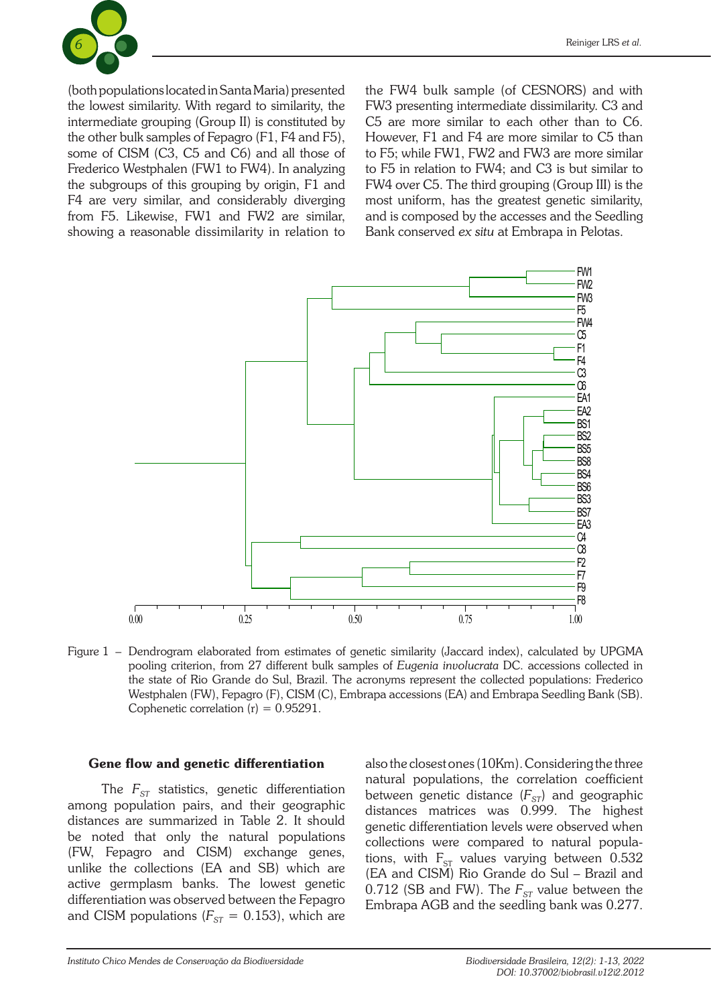

(both populations located in Santa Maria) presented the lowest similarity. With regard to similarity, the intermediate grouping (Group II) is constituted by the other bulk samples of Fepagro (F1, F4 and F5), some of CISM (C3, C5 and C6) and all those of Frederico Westphalen (FW1 to FW4). In analyzing the subgroups of this grouping by origin, F1 and F4 are very similar, and considerably diverging from F5. Likewise, FW1 and FW2 are similar, showing a reasonable dissimilarity in relation to the FW4 bulk sample (of CESNORS) and with FW3 presenting intermediate dissimilarity. C3 and C5 are more similar to each other than to C6. However, F1 and F4 are more similar to C5 than to F5; while FW1, FW2 and FW3 are more similar to F5 in relation to FW4; and C3 is but similar to FW4 over C5. The third grouping (Group III) is the most uniform, has the greatest genetic similarity, and is composed by the accesses and the Seedling Bank conserved *ex situ* at Embrapa in Pelotas.



Figure 1 – Dendrogram elaborated from estimates of genetic similarity (Jaccard index), calculated by UPGMA pooling criterion, from 27 different bulk samples of *Eugenia involucrata* DC. accessions collected in the state of Rio Grande do Sul, Brazil. The acronyms represent the collected populations: Frederico Westphalen (FW), Fepagro (F), CISM (C), Embrapa accessions (EA) and Embrapa Seedling Bank (SB). Cophenetic correlation  $(r) = 0.95291$ .

#### Gene flow and genetic differentiation

The  $F_{ST}$  statistics, genetic differentiation among population pairs, and their geographic distances are summarized in Table 2. It should be noted that only the natural populations (FW, Fepagro and CISM) exchange genes, unlike the collections (EA and SB) which are active germplasm banks. The lowest genetic differentiation was observed between the Fepagro and CISM populations  $(F_{ST} = 0.153)$ , which are

also the closest ones (10Km). Considering the three natural populations, the correlation coefficient between genetic distance  $(F_{ST})$  and geographic distances matrices was 0.999. The highest genetic differentiation levels were observed when collections were compared to natural populations, with  $F_{ST}$  values varying between 0.532 (EA and CISM) Rio Grande do Sul – Brazil and 0.712 (SB and FW). The  $F_{ST}$  value between the Embrapa AGB and the seedling bank was 0.277.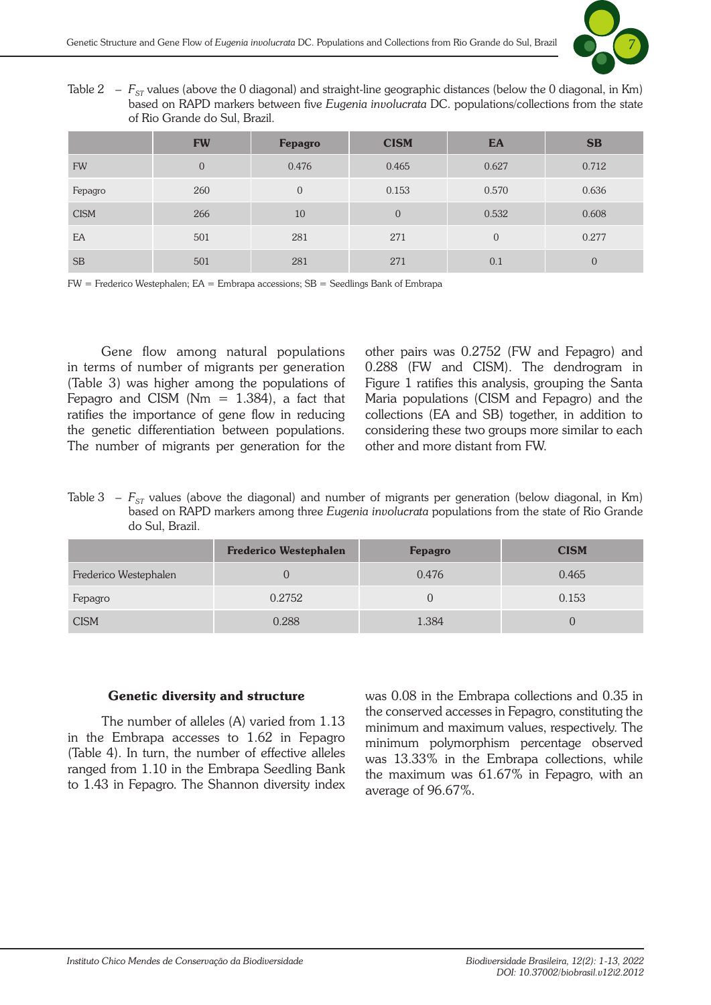

Table 2 –  $F_{ST}$  values (above the 0 diagonal) and straight-line geographic distances (below the 0 diagonal, in Km) based on RAPD markers between five *Eugenia involucrata* DC. populations/collections from the state of Rio Grande do Sul, Brazil.

|             | <b>FW</b>      | <b>Fepagro</b> | <b>CISM</b> | EA             | <b>SB</b>      |
|-------------|----------------|----------------|-------------|----------------|----------------|
| <b>FW</b>   | $\overline{0}$ | 0.476          | 0.465       | 0.627          | 0.712          |
| Fepagro     | 260            | $\overline{0}$ | 0.153       | 0.570          | 0.636          |
| <b>CISM</b> | 266            | 10             | $\Omega$    | 0.532          | 0.608          |
| EA          | 501            | 281            | 271         | $\overline{0}$ | 0.277          |
| <b>SB</b>   | 501            | 281            | 271         | 0.1            | $\overline{0}$ |

FW = Frederico Westephalen; EA = Embrapa accessions; SB = Seedlings Bank of Embrapa

Gene flow among natural populations in terms of number of migrants per generation (Table 3) was higher among the populations of Fepagro and CISM ( $Nm = 1.384$ ), a fact that ratifies the importance of gene flow in reducing the genetic differentiation between populations. The number of migrants per generation for the other pairs was 0.2752 (FW and Fepagro) and 0.288 (FW and CISM). The dendrogram in Figure 1 ratifies this analysis, grouping the Santa Maria populations (CISM and Fepagro) and the collections (EA and SB) together, in addition to considering these two groups more similar to each other and more distant from FW.

Table 3 –  $F_{ST}$  values (above the diagonal) and number of migrants per generation (below diagonal, in Km) based on RAPD markers among three *Eugenia involucrata* populations from the state of Rio Grande do Sul, Brazil.

|                       | <b>Frederico Westephalen</b> | <b>Fepagro</b> | <b>CISM</b> |
|-----------------------|------------------------------|----------------|-------------|
| Frederico Westephalen |                              | 0.476          | 0.465       |
| Fepagro               | 0.2752                       |                | 0.153       |
| <b>CISM</b>           | 0.288                        | 1.384          |             |

#### Genetic diversity and structure

The number of alleles (A) varied from 1.13 in the Embrapa accesses to 1.62 in Fepagro (Table 4). In turn, the number of effective alleles ranged from 1.10 in the Embrapa Seedling Bank to 1.43 in Fepagro. The Shannon diversity index was 0.08 in the Embrapa collections and 0.35 in the conserved accesses in Fepagro, constituting the minimum and maximum values, respectively. The minimum polymorphism percentage observed was 13.33% in the Embrapa collections, while the maximum was 61.67% in Fepagro, with an average of 96.67%.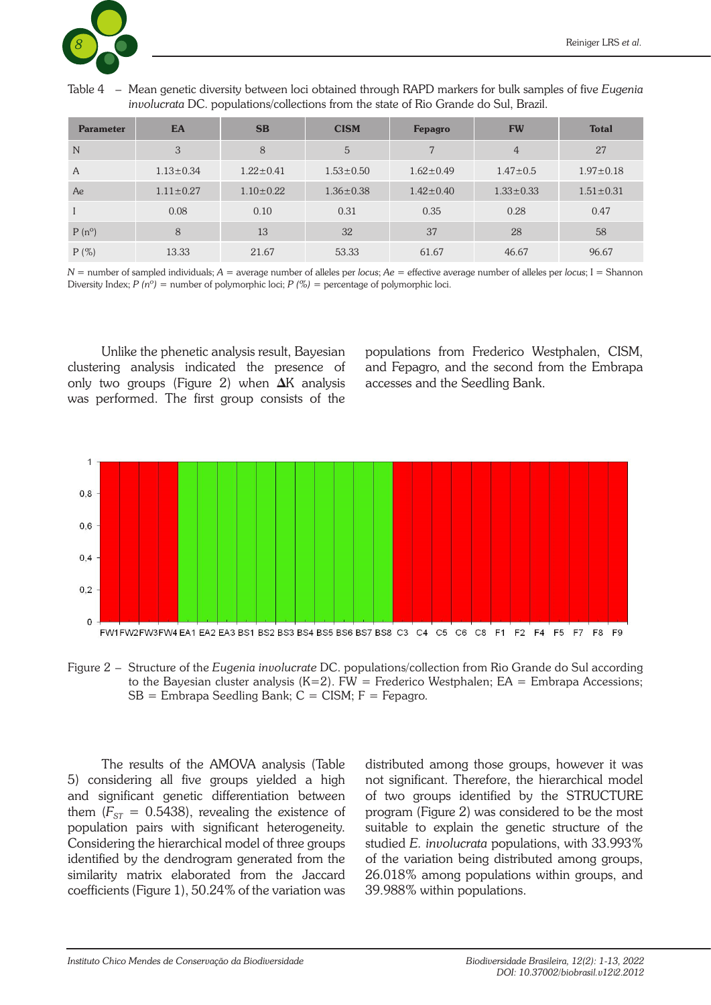

Table 4 – Mean genetic diversity between loci obtained through RAPD markers for bulk samples of five *Eugenia involucrata* DC. populations/collections from the state of Rio Grande do Sul, Brazil.

| <b>Parameter</b> | EA              | <b>SB</b>       | <b>CISM</b>     | <b>Fepagro</b>  | <b>FW</b>       | <b>Total</b>    |
|------------------|-----------------|-----------------|-----------------|-----------------|-----------------|-----------------|
| N                | 3               | 8               | 5               |                 | $\overline{4}$  | 27              |
| $\mathsf{A}$     | $1.13 \pm 0.34$ | $1.22 \pm 0.41$ | $1.53 \pm 0.50$ | $1.62 \pm 0.49$ | $1.47 \pm 0.5$  | $1.97 \pm 0.18$ |
| Ae               | $1.11 \pm 0.27$ | $1.10 \pm 0.22$ | $1.36 \pm 0.38$ | $1.42 \pm 0.40$ | $1.33 \pm 0.33$ | $1.51 \pm 0.31$ |
| $\mathbf{I}$     | 0.08            | 0.10            | 0.31            | 0.35            | 0.28            | 0.47            |
| $P(n^{\circ})$   | 8               | 13              | 32              | 37              | 28              | 58              |
| $P(\%)$          | 13.33           | 21.67           | 53.33           | 61.67           | 46.67           | 96.67           |

*N* = number of sampled individuals; *A* = average number of alleles per *locus*; *Ae* = effective average number of alleles per *locus*; I = Shannon Diversity Index;  $P(n^{\circ})$  = number of polymorphic loci;  $P(\%)$  = percentage of polymorphic loci.

Unlike the phenetic analysis result, Bayesian clustering analysis indicated the presence of only two groups (Figure 2) when  $\Delta K$  analysis was performed. The first group consists of the populations from Frederico Westphalen, CISM, and Fepagro, and the second from the Embrapa accesses and the Seedling Bank.



Figure 2 – Structure of the *Eugenia involucrate* DC. populations/collection from Rio Grande do Sul according to the Bayesian cluster analysis  $(K=2)$ . FW = Frederico Westphalen; EA = Embrapa Accessions;  $SB =$  Embrapa Seedling Bank;  $C =$  CISM;  $F =$  Fepagro.

The results of the AMOVA analysis (Table 5) considering all five groups yielded a high and significant genetic differentiation between them  $(F_{ST} = 0.5438)$ , revealing the existence of population pairs with significant heterogeneity. Considering the hierarchical model of three groups identified by the dendrogram generated from the similarity matrix elaborated from the Jaccard coefficients (Figure 1), 50.24% of the variation was

distributed among those groups, however it was not significant. Therefore, the hierarchical model of two groups identified by the STRUCTURE program (Figure 2) was considered to be the most suitable to explain the genetic structure of the studied *E. involucrata* populations, with 33.993% of the variation being distributed among groups, 26.018% among populations within groups, and 39.988% within populations.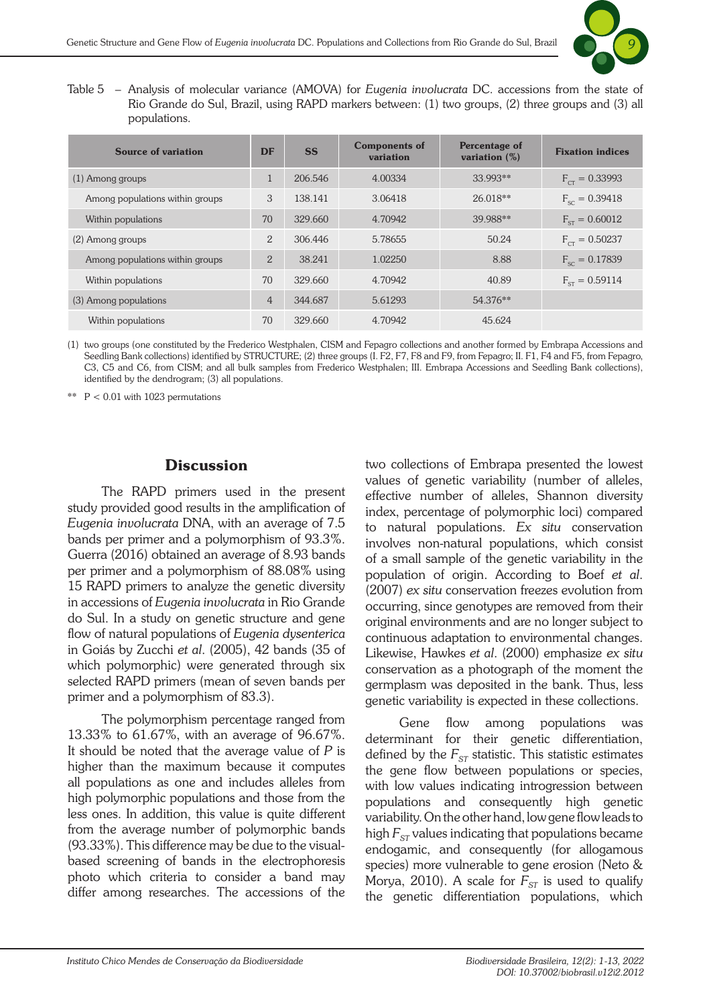![](_page_8_Picture_1.jpeg)

Table 5 – Analysis of molecular variance (AMOVA) for *Eugenia involucrata* DC. accessions from the state of Rio Grande do Sul, Brazil, using RAPD markers between: (1) two groups, (2) three groups and (3) all populations.

| <b>Source of variation</b>      | <b>DF</b>      | <b>SS</b> | <b>Components of</b><br>variation | Percentage of<br>variation $(\%)$ | <b>Fixation indices</b> |
|---------------------------------|----------------|-----------|-----------------------------------|-----------------------------------|-------------------------|
| $(1)$ Among groups              | 1              | 206.546   | 4.00334                           | 33.993**                          | $F_{cr} = 0.33993$      |
| Among populations within groups | 3              | 138.141   | 3.06418                           | 26.018**                          | $F_{sc} = 0.39418$      |
| Within populations              | 70             | 329.660   | 4.70942                           | 39.988**                          | $F_{cr} = 0.60012$      |
| (2) Among groups                | $\overline{2}$ | 306.446   | 5.78655                           | 50.24                             | $F_{cr} = 0.50237$      |
| Among populations within groups | $\overline{2}$ | 38.241    | 1.02250                           | 8.88                              | $F_{\rm sc} = 0.17839$  |
| Within populations              | 70             | 329.660   | 4.70942                           | 40.89                             | $F_{\rm cr} = 0.59114$  |
| (3) Among populations           | $\overline{4}$ | 344.687   | 5.61293                           | 54.376**                          |                         |
| Within populations              | 70             | 329.660   | 4.70942                           | 45.624                            |                         |

(1) two groups (one constituted by the Frederico Westphalen, CISM and Fepagro collections and another formed by Embrapa Accessions and Seedling Bank collections) identified by STRUCTURE; (2) three groups (I. F2, F7, F8 and F9, from Fepagro; II. F1, F4 and F5, from Fepagro, C3, C5 and C6, from CISM; and all bulk samples from Frederico Westphalen; III. Embrapa Accessions and Seedling Bank collections), identified by the dendrogram; (3) all populations.

\*\*  $P < 0.01$  with 1023 permutations

## **Discussion**

The RAPD primers used in the present study provided good results in the amplification of *Eugenia involucrata* DNA, with an average of 7.5 bands per primer and a polymorphism of 93.3%. Guerra (2016) obtained an average of 8.93 bands per primer and a polymorphism of 88.08% using 15 RAPD primers to analyze the genetic diversity in accessions of *Eugenia involucrata* in Rio Grande do Sul. In a study on genetic structure and gene flow of natural populations of *Eugenia dysenterica* in Goiás by Zucchi *et al*. (2005), 42 bands (35 of which polymorphic) were generated through six selected RAPD primers (mean of seven bands per primer and a polymorphism of 83.3).

The polymorphism percentage ranged from 13.33% to 61.67%, with an average of 96.67%. It should be noted that the average value of *P* is higher than the maximum because it computes all populations as one and includes alleles from high polymorphic populations and those from the less ones. In addition, this value is quite different from the average number of polymorphic bands (93.33%). This difference may be due to the visualbased screening of bands in the electrophoresis photo which criteria to consider a band may differ among researches. The accessions of the two collections of Embrapa presented the lowest values of genetic variability (number of alleles, effective number of alleles, Shannon diversity index, percentage of polymorphic loci) compared to natural populations. *Ex situ* conservation involves non-natural populations, which consist of a small sample of the genetic variability in the population of origin. According to Boef *et al*. (2007) *ex situ* conservation freezes evolution from occurring, since genotypes are removed from their original environments and are no longer subject to continuous adaptation to environmental changes. Likewise, Hawkes *et al*. (2000) emphasize *ex situ* conservation as a photograph of the moment the germplasm was deposited in the bank. Thus, less genetic variability is expected in these collections.

Gene flow among populations was determinant for their genetic differentiation, defined by the  $F_{ST}$  statistic. This statistic estimates the gene flow between populations or species, with low values indicating introgression between populations and consequently high genetic variability. On the other hand, low gene flow leads to high  $F_{ST}$  values indicating that populations became endogamic, and consequently (for allogamous species) more vulnerable to gene erosion (Neto & Morya, 2010). A scale for  $F_{ST}$  is used to qualify the genetic differentiation populations, which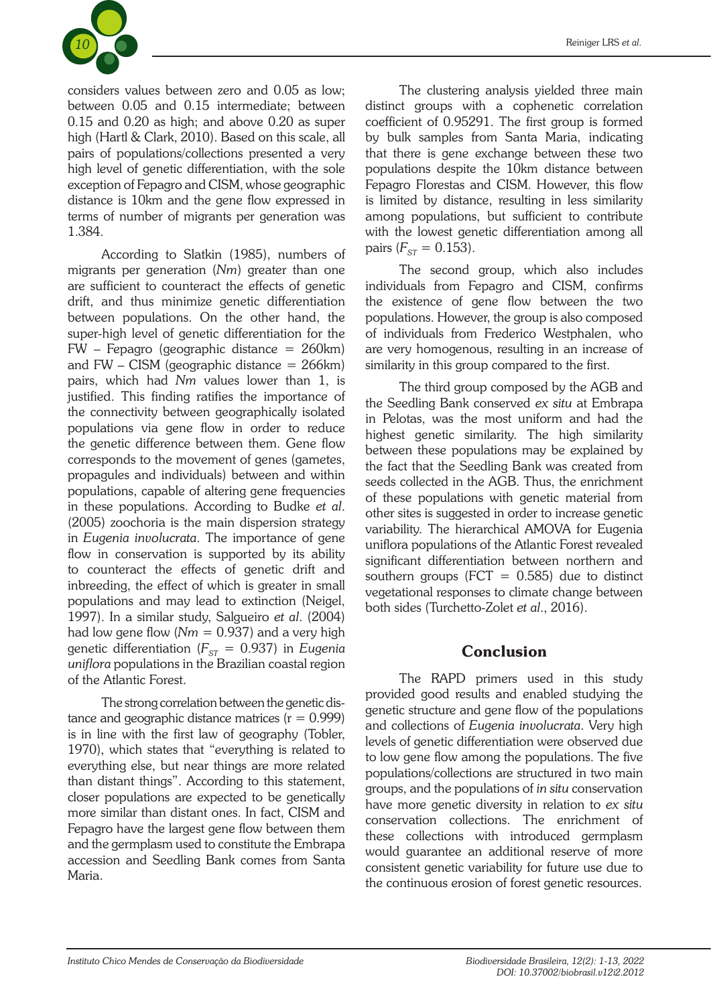![](_page_9_Picture_0.jpeg)

considers values between zero and 0.05 as low; between 0.05 and 0.15 intermediate; between 0.15 and 0.20 as high; and above 0.20 as super high (Hartl & Clark, 2010). Based on this scale, all pairs of populations/collections presented a very high level of genetic differentiation, with the sole exception of Fepagro and CISM, whose geographic distance is 10km and the gene flow expressed in terms of number of migrants per generation was 1.384.

According to Slatkin (1985), numbers of migrants per generation (*Nm*) greater than one are sufficient to counteract the effects of genetic drift, and thus minimize genetic differentiation between populations. On the other hand, the super-high level of genetic differentiation for the FW – Fepagro (geographic distance = 260km) and  $FW - CISM$  (geographic distance  $= 266 \text{km}$ ) pairs, which had *Nm* values lower than 1, is justified. This finding ratifies the importance of the connectivity between geographically isolated populations via gene flow in order to reduce the genetic difference between them. Gene flow corresponds to the movement of genes (gametes, propagules and individuals) between and within populations, capable of altering gene frequencies in these populations. According to Budke *et al*. (2005) zoochoria is the main dispersion strategy in *Eugenia involucrata*. The importance of gene flow in conservation is supported by its ability to counteract the effects of genetic drift and inbreeding, the effect of which is greater in small populations and may lead to extinction (Neigel, 1997). In a similar study, Salgueiro *et al*. (2004) had low gene flow  $(Nm = 0.937)$  and a very high genetic differentiation ( $F_{ST}$  = 0.937) in *Eugenia uniflora* populations in the Brazilian coastal region of the Atlantic Forest.

The strong correlation between the genetic distance and geographic distance matrices  $(r = 0.999)$ is in line with the first law of geography (Tobler, 1970), which states that "everything is related to everything else, but near things are more related than distant things". According to this statement, closer populations are expected to be genetically more similar than distant ones. In fact, CISM and Fepagro have the largest gene flow between them and the germplasm used to constitute the Embrapa accession and Seedling Bank comes from Santa Maria.

The clustering analysis yielded three main distinct groups with a cophenetic correlation coefficient of 0.95291. The first group is formed by bulk samples from Santa Maria, indicating that there is gene exchange between these two populations despite the 10km distance between Fepagro Florestas and CISM. However, this flow is limited by distance, resulting in less similarity among populations, but sufficient to contribute with the lowest genetic differentiation among all pairs  $(F_{ST} = 0.153)$ .

The second group, which also includes individuals from Fepagro and CISM, confirms the existence of gene flow between the two populations. However, the group is also composed of individuals from Frederico Westphalen, who are very homogenous, resulting in an increase of similarity in this group compared to the first.

The third group composed by the AGB and the Seedling Bank conserved *ex situ* at Embrapa in Pelotas, was the most uniform and had the highest genetic similarity. The high similarity between these populations may be explained by the fact that the Seedling Bank was created from seeds collected in the AGB. Thus, the enrichment of these populations with genetic material from other sites is suggested in order to increase genetic variability. The hierarchical AMOVA for Eugenia uniflora populations of the Atlantic Forest revealed significant differentiation between northern and southern groups ( $FCT = 0.585$ ) due to distinct vegetational responses to climate change between both sides (Turchetto-Zolet *et al*., 2016).

### Conclusion

The RAPD primers used in this study provided good results and enabled studying the genetic structure and gene flow of the populations and collections of *Eugenia involucrata*. Very high levels of genetic differentiation were observed due to low gene flow among the populations. The five populations/collections are structured in two main groups, and the populations of *in situ* conservation have more genetic diversity in relation to *ex situ* conservation collections. The enrichment of these collections with introduced germplasm would guarantee an additional reserve of more consistent genetic variability for future use due to the continuous erosion of forest genetic resources.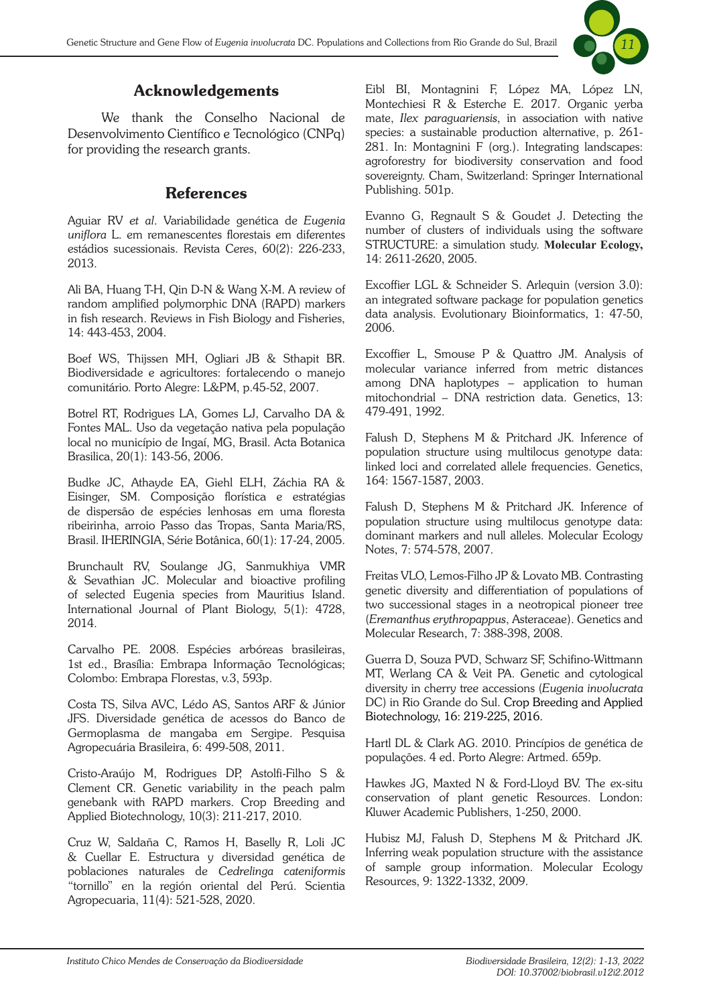![](_page_10_Picture_1.jpeg)

## Acknowledgements

We thank the Conselho Nacional de Desenvolvimento Científico e Tecnológico (CNPq) for providing the research grants.

### References

Aguiar RV *et al*. Variabilidade genética de *Eugenia uniflora* L. em remanescentes florestais em diferentes estádios sucessionais. Revista Ceres, 60(2): 226-233, 2013.

Ali BA, Huang T-H, Qin D-N & Wang X-M. A review of random amplified polymorphic DNA (RAPD) markers in fish research. Reviews in Fish Biology and Fisheries, 14: 443-453, 2004.

Boef WS, Thijssen MH, Ogliari JB & Sthapit BR. Biodiversidade e agricultores: fortalecendo o manejo comunitário. Porto Alegre: L&PM, p.45-52, 2007.

Botrel RT, Rodrigues LA, Gomes LJ, Carvalho DA & Fontes MAL. Uso da vegetação nativa pela população local no município de Ingaí, MG, Brasil. Acta Botanica Brasilica, 20(1): 143-56, 2006.

Budke JC, Athayde EA, Giehl ELH, Záchia RA & Eisinger, SM. Composição florística e estratégias de dispersão de espécies lenhosas em uma floresta ribeirinha, arroio Passo das Tropas, Santa Maria/RS, Brasil. IHERINGIA, Série Botânica, 60(1): 17-24, 2005.

Brunchault RV, Soulange JG, Sanmukhiya VMR & Sevathian JC. Molecular and bioactive profiling of selected Eugenia species from Mauritius Island. International Journal of Plant Biology, 5(1): 4728, 2014.

Carvalho PE. 2008. Espécies arbóreas brasileiras, 1st ed., Brasília: Embrapa Informação Tecnológicas; Colombo: Embrapa Florestas, v.3, 593p.

Costa TS, Silva AVC, Lédo AS, Santos ARF & Júnior JFS. Diversidade genética de acessos do Banco de Germoplasma de mangaba em Sergipe. Pesquisa Agropecuária Brasileira, 6: 499-508, 2011.

Cristo-Araújo M, Rodrigues DP, Astolfi-Filho S & Clement CR. Genetic variability in the peach palm genebank with RAPD markers. Crop Breeding and Applied Biotechnology, 10(3): 211-217, 2010.

Cruz W, Saldaña C, Ramos H, Baselly R, Loli JC & Cuellar E. Estructura y diversidad genética de poblaciones naturales de *Cedrelinga cateniformis* "tornillo" en la región oriental del Perú. Scientia Agropecuaria, 11(4): 521-528, 2020.

Eibl BI, Montagnini F, López MA, López LN, Montechiesi R & Esterche E. 2017. Organic yerba mate, *Ilex paraguariensis*, in association with native species: a sustainable production alternative, p. 261- 281. In: Montagnini F (org.). Integrating landscapes: agroforestry for biodiversity conservation and food sovereignty. Cham, Switzerland: Springer International Publishing. 501p.

Evanno G, Regnault S & Goudet J. Detecting the number of clusters of individuals using the software STRUCTURE: a simulation study. **Molecular Ecology,** 14: 2611-2620, 2005.

Excoffier LGL & Schneider S. Arlequin (version 3.0): an integrated software package for population genetics data analysis. Evolutionary Bioinformatics, 1: 47-50, 2006.

Excoffier L, Smouse P & Quattro JM. Analysis of molecular variance inferred from metric distances among DNA haplotypes – application to human mitochondrial – DNA restriction data. Genetics, 13: 479-491, 1992.

Falush D, Stephens M & Pritchard JK. Inference of population structure using multilocus genotype data: linked loci and correlated allele frequencies. Genetics, 164: 1567-1587, 2003.

Falush D, Stephens M & Pritchard JK. Inference of population structure using multilocus genotype data: dominant markers and null alleles. Molecular Ecology Notes, 7: 574-578, 2007.

Freitas VLO, Lemos-Filho JP & Lovato MB. Contrasting genetic diversity and differentiation of populations of two successional stages in a neotropical pioneer tree (*Eremanthus erythropappus*, Asteraceae). Genetics and Molecular Research, 7: 388-398, 2008.

Guerra D, Souza PVD, Schwarz SF, Schifino-Wittmann MT, Werlang CA & Veit PA. Genetic and cytological diversity in cherry tree accessions (*Eugenia involucrata*  DC) in Rio Grande do Sul. Crop Breeding and Applied Biotechnology, 16: 219-225, 2016.

Hartl DL & Clark AG. 2010. Princípios de genética de populações. 4 ed. Porto Alegre: Artmed. 659p.

Hawkes JG, Maxted N & Ford-Lloyd BV. The ex-situ conservation of plant genetic Resources. London: Kluwer Academic Publishers, 1-250, 2000.

Hubisz MJ, Falush D, Stephens M & Pritchard JK. Inferring weak population structure with the assistance of sample group information. Molecular Ecology Resources, 9: 1322-1332, 2009.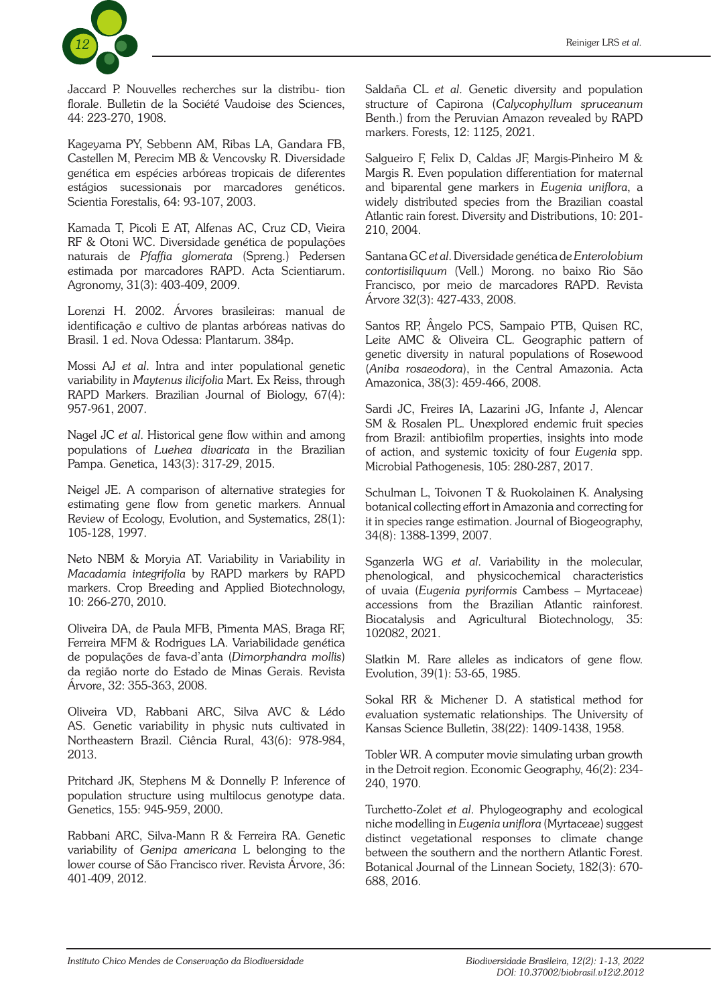![](_page_11_Picture_1.jpeg)

Jaccard P. Nouvelles recherches sur la distribu- tion florale. Bulletin de la Société Vaudoise des Sciences, 44: 223-270, 1908.

Kageyama PY, Sebbenn AM, Ribas LA, Gandara FB, Castellen M, Perecim MB & Vencovsky R. Diversidade genética em espécies arbóreas tropicais de diferentes estágios sucessionais por marcadores genéticos. Scientia Forestalis, 64: 93-107, 2003.

Kamada T, Picoli E AT, Alfenas AC, Cruz CD, Vieira RF & Otoni WC. Diversidade genética de populações naturais de *Pfaffia glomerata* (Spreng.) Pedersen estimada por marcadores RAPD. Acta Scientiarum. Agronomy, 31(3): 403-409, 2009.

Lorenzi H. 2002. Árvores brasileiras: manual de identificação e cultivo de plantas arbóreas nativas do Brasil. 1 ed. Nova Odessa: Plantarum. 384p.

Mossi AJ *et al*. Intra and inter populational genetic variability in *Maytenus ilicifolia* Mart. Ex Reiss, through RAPD Markers. Brazilian Journal of Biology, 67(4): 957-961, 2007.

Nagel JC *et al*. Historical gene flow within and among populations of *Luehea divaricata* in the Brazilian Pampa. Genetica, 143(3): 317-29, 2015.

Neigel JE. A comparison of alternative strategies for estimating gene flow from genetic markers*.* Annual Review of Ecology, Evolution, and Systematics, 28(1): 105-128, 1997.

Neto NBM & Moryia AT. Variability in Variability in *Macadamia integrifolia* by RAPD markers by RAPD markers. Crop Breeding and Applied Biotechnology, 10: 266-270, 2010.

Oliveira DA, de Paula MFB, Pimenta MAS, Braga RF, Ferreira MFM & Rodrigues LA. Variabilidade genética de populações de fava-d'anta (*Dimorphandra mollis*) da região norte do Estado de Minas Gerais. Revista Árvore, 32: 355-363, 2008.

Oliveira VD, Rabbani ARC, Silva AVC & Lédo AS. Genetic variability in physic nuts cultivated in Northeastern Brazil. Ciência Rural, 43(6): 978-984, 2013.

Pritchard JK, Stephens M & Donnelly P. Inference of population structure using multilocus genotype data. Genetics, 155: 945-959, 2000.

Rabbani ARC, Silva-Mann R & Ferreira RA. Genetic variability of *Genipa americana* L belonging to the lower course of São Francisco river. Revista Árvore, 36: 401-409, 2012.

Saldaña CL *et al*. Genetic diversity and population structure of Capirona (*Calycophyllum spruceanum* Benth.) from the Peruvian Amazon revealed by RAPD markers. Forests, 12: 1125, 2021.

Salgueiro F, Felix D, Caldas JF, Margis-Pinheiro M & Margis R. Even population differentiation for maternal and biparental gene markers in *Eugenia uniflora*, a widely distributed species from the Brazilian coastal Atlantic rain forest. Diversity and Distributions, 10: 201- 210, 2004.

Santana GC *et al*. Diversidade genética de *Enterolobium contortisiliquum* (Vell.) Morong. no baixo Rio São Francisco, por meio de marcadores RAPD. Revista Árvore 32(3): 427-433, 2008.

Santos RP, Ângelo PCS, Sampaio PTB, Quisen RC, Leite AMC & Oliveira CL. Geographic pattern of genetic diversity in natural populations of Rosewood (*Aniba rosaeodora*), in the Central Amazonia. Acta Amazonica, 38(3): 459-466, 2008.

Sardi JC, Freires IA, Lazarini JG, Infante J, Alencar SM & Rosalen PL. Unexplored endemic fruit species from Brazil: antibiofilm properties, insights into mode of action, and systemic toxicity of four *Eugenia* spp. Microbial Pathogenesis, 105: 280-287, 2017.

Schulman L, Toivonen T & Ruokolainen K. Analysing botanical collecting effort in Amazonia and correcting for it in species range estimation. Journal of Biogeography, 34(8): 1388-1399, 2007.

Sganzerla WG *et al*. Variability in the molecular, phenological, and physicochemical characteristics of uvaia (*Eugenia pyriformis* Cambess – Myrtaceae) accessions from the Brazilian Atlantic rainforest. Biocatalysis and Agricultural Biotechnology, 35: 102082, 2021.

Slatkin M. Rare alleles as indicators of gene flow. Evolution, 39(1): 53-65, 1985.

Sokal RR & Michener D. A statistical method for evaluation systematic relationships. The University of Kansas Science Bulletin, 38(22): 1409-1438, 1958.

Tobler WR. A computer movie simulating urban growth in the Detroit region. Economic Geography, 46(2): 234- 240, 1970.

Turchetto-Zolet *et al*. Phylogeography and ecological niche modelling in *Eugenia uniflora* (Myrtaceae) suggest distinct vegetational responses to climate change between the southern and the northern Atlantic Forest. Botanical Journal of the Linnean Society, 182(3): 670- 688, 2016.